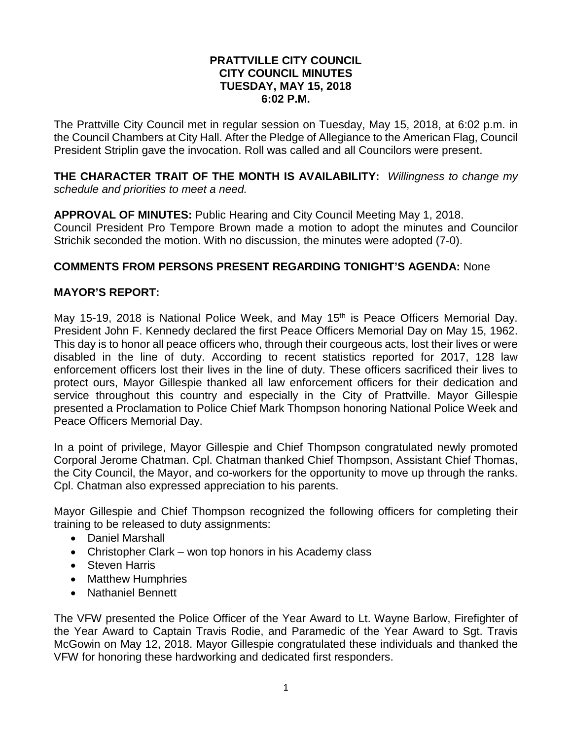### **PRATTVILLE CITY COUNCIL CITY COUNCIL MINUTES TUESDAY, MAY 15, 2018 6:02 P.M.**

The Prattville City Council met in regular session on Tuesday, May 15, 2018, at 6:02 p.m. in the Council Chambers at City Hall. After the Pledge of Allegiance to the American Flag, Council President Striplin gave the invocation. Roll was called and all Councilors were present.

**THE CHARACTER TRAIT OF THE MONTH IS AVAILABILITY:** *Willingness to change my schedule and priorities to meet a need.* 

**APPROVAL OF MINUTES:** Public Hearing and City Council Meeting May 1, 2018. Council President Pro Tempore Brown made a motion to adopt the minutes and Councilor Strichik seconded the motion. With no discussion, the minutes were adopted (7-0).

## **COMMENTS FROM PERSONS PRESENT REGARDING TONIGHT'S AGENDA:** None

# **MAYOR'S REPORT:**

May 15-19, 2018 is National Police Week, and May 15<sup>th</sup> is Peace Officers Memorial Day. President John F. Kennedy declared the first Peace Officers Memorial Day on May 15, 1962. This day is to honor all peace officers who, through their courgeous acts, lost their lives or were disabled in the line of duty. According to recent statistics reported for 2017, 128 law enforcement officers lost their lives in the line of duty. These officers sacrificed their lives to protect ours, Mayor Gillespie thanked all law enforcement officers for their dedication and service throughout this country and especially in the City of Prattville. Mayor Gillespie presented a Proclamation to Police Chief Mark Thompson honoring National Police Week and Peace Officers Memorial Day.

In a point of privilege, Mayor Gillespie and Chief Thompson congratulated newly promoted Corporal Jerome Chatman. Cpl. Chatman thanked Chief Thompson, Assistant Chief Thomas, the City Council, the Mayor, and co-workers for the opportunity to move up through the ranks. Cpl. Chatman also expressed appreciation to his parents.

Mayor Gillespie and Chief Thompson recognized the following officers for completing their training to be released to duty assignments:

- Daniel Marshall
- Christopher Clark won top honors in his Academy class
- Steven Harris
- Matthew Humphries
- Nathaniel Bennett

The VFW presented the Police Officer of the Year Award to Lt. Wayne Barlow, Firefighter of the Year Award to Captain Travis Rodie, and Paramedic of the Year Award to Sgt. Travis McGowin on May 12, 2018. Mayor Gillespie congratulated these individuals and thanked the VFW for honoring these hardworking and dedicated first responders.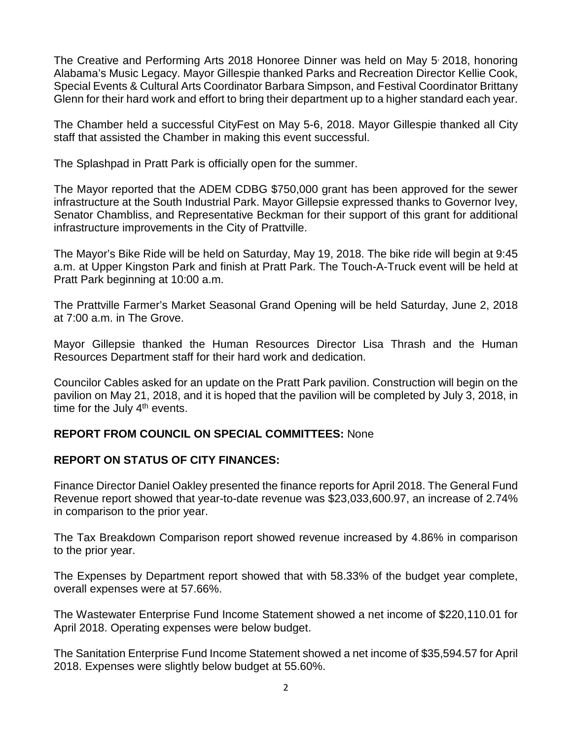The Creative and Performing Arts 2018 Honoree Dinner was held on May 5 2018, honoring Alabama's Music Legacy. Mayor Gillespie thanked Parks and Recreation Director Kellie Cook, Special Events & Cultural Arts Coordinator Barbara Simpson, and Festival Coordinator Brittany Glenn for their hard work and effort to bring their department up to a higher standard each year.

The Chamber held a successful CityFest on May 5-6, 2018. Mayor Gillespie thanked all City staff that assisted the Chamber in making this event successful.

The Splashpad in Pratt Park is officially open for the summer.

The Mayor reported that the ADEM CDBG \$750,000 grant has been approved for the sewer infrastructure at the South Industrial Park. Mayor Gillepsie expressed thanks to Governor Ivey, Senator Chambliss, and Representative Beckman for their support of this grant for additional infrastructure improvements in the City of Prattville.

The Mayor's Bike Ride will be held on Saturday, May 19, 2018. The bike ride will begin at 9:45 a.m. at Upper Kingston Park and finish at Pratt Park. The Touch-A-Truck event will be held at Pratt Park beginning at 10:00 a.m.

The Prattville Farmer's Market Seasonal Grand Opening will be held Saturday, June 2, 2018 at 7:00 a.m. in The Grove.

Mayor Gillepsie thanked the Human Resources Director Lisa Thrash and the Human Resources Department staff for their hard work and dedication.

Councilor Cables asked for an update on the Pratt Park pavilion. Construction will begin on the pavilion on May 21, 2018, and it is hoped that the pavilion will be completed by July 3, 2018, in time for the July  $4<sup>th</sup>$  events.

# **REPORT FROM COUNCIL ON SPECIAL COMMITTEES:** None

# **REPORT ON STATUS OF CITY FINANCES:**

Finance Director Daniel Oakley presented the finance reports for April 2018. The General Fund Revenue report showed that year-to-date revenue was \$23,033,600.97, an increase of 2.74% in comparison to the prior year.

The Tax Breakdown Comparison report showed revenue increased by 4.86% in comparison to the prior year.

The Expenses by Department report showed that with 58.33% of the budget year complete, overall expenses were at 57.66%.

The Wastewater Enterprise Fund Income Statement showed a net income of \$220,110.01 for April 2018. Operating expenses were below budget.

The Sanitation Enterprise Fund Income Statement showed a net income of \$35,594.57 for April 2018. Expenses were slightly below budget at 55.60%.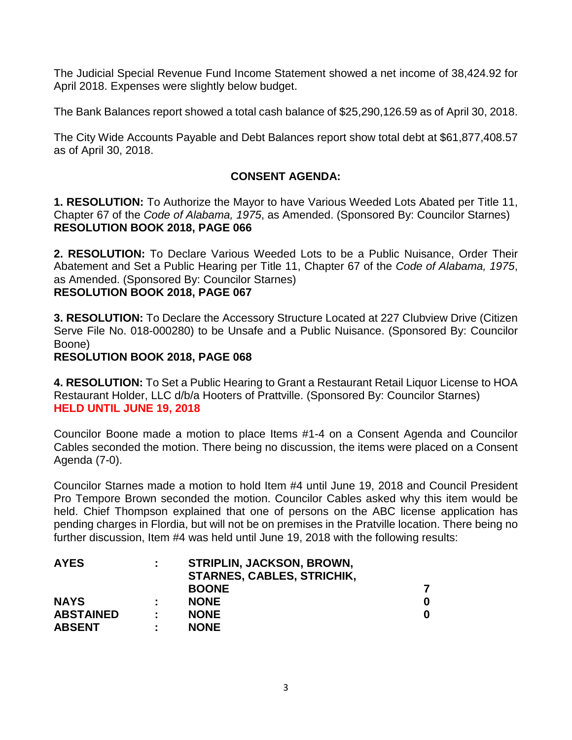The Judicial Special Revenue Fund Income Statement showed a net income of 38,424.92 for April 2018. Expenses were slightly below budget.

The Bank Balances report showed a total cash balance of \$25,290,126.59 as of April 30, 2018.

The City Wide Accounts Payable and Debt Balances report show total debt at \$61,877,408.57 as of April 30, 2018.

# **CONSENT AGENDA:**

**1. RESOLUTION:** To Authorize the Mayor to have Various Weeded Lots Abated per Title 11, Chapter 67 of the *Code of Alabama, 1975*, as Amended. (Sponsored By: Councilor Starnes) **RESOLUTION BOOK 2018, PAGE 066**

**2. RESOLUTION:** To Declare Various Weeded Lots to be a Public Nuisance, Order Their Abatement and Set a Public Hearing per Title 11, Chapter 67 of the *Code of Alabama, 1975*, as Amended. (Sponsored By: Councilor Starnes) **RESOLUTION BOOK 2018, PAGE 067**

**3. RESOLUTION:** To Declare the Accessory Structure Located at 227 Clubview Drive (Citizen Serve File No. 018-000280) to be Unsafe and a Public Nuisance. (Sponsored By: Councilor Boone)

### **RESOLUTION BOOK 2018, PAGE 068**

**4. RESOLUTION:** To Set a Public Hearing to Grant a Restaurant Retail Liquor License to HOA Restaurant Holder, LLC d/b/a Hooters of Prattville. (Sponsored By: Councilor Starnes) **HELD UNTIL JUNE 19, 2018**

Councilor Boone made a motion to place Items #1-4 on a Consent Agenda and Councilor Cables seconded the motion. There being no discussion, the items were placed on a Consent Agenda (7-0).

Councilor Starnes made a motion to hold Item #4 until June 19, 2018 and Council President Pro Tempore Brown seconded the motion. Councilor Cables asked why this item would be held. Chief Thompson explained that one of persons on the ABC license application has pending charges in Flordia, but will not be on premises in the Pratville location. There being no further discussion, Item #4 was held until June 19, 2018 with the following results:

| ÷. | <b>STRIPLIN, JACKSON, BROWN,</b>  |   |
|----|-----------------------------------|---|
|    | <b>STARNES, CABLES, STRICHIK,</b> |   |
|    | <b>BOONE</b>                      |   |
| ٠. | <b>NONE</b>                       | 0 |
| ٠. | <b>NONE</b>                       | 0 |
| ÷  | <b>NONE</b>                       |   |
|    |                                   |   |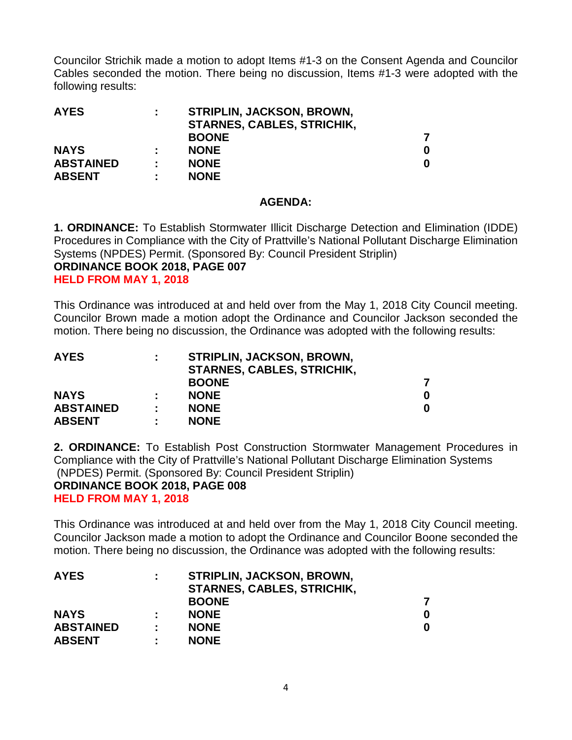Councilor Strichik made a motion to adopt Items #1-3 on the Consent Agenda and Councilor Cables seconded the motion. There being no discussion, Items #1-3 were adopted with the following results:

| <b>AYES</b>      | ÷  | <b>STRIPLIN, JACKSON, BROWN,</b>  |   |
|------------------|----|-----------------------------------|---|
|                  |    | <b>STARNES, CABLES, STRICHIK,</b> |   |
|                  |    | <b>BOONE</b>                      |   |
| <b>NAYS</b>      |    | <b>NONE</b>                       | 0 |
| <b>ABSTAINED</b> | ÷. | <b>NONE</b>                       | 0 |
| <b>ABSENT</b>    | ÷  | <b>NONE</b>                       |   |

### **AGENDA:**

**1. ORDINANCE:** To Establish Stormwater Illicit Discharge Detection and Elimination (IDDE) Procedures in Compliance with the City of Prattville's National Pollutant Discharge Elimination Systems (NPDES) Permit. (Sponsored By: Council President Striplin) **ORDINANCE BOOK 2018, PAGE 007 HELD FROM MAY 1, 2018**

This Ordinance was introduced at and held over from the May 1, 2018 City Council meeting. Councilor Brown made a motion adopt the Ordinance and Councilor Jackson seconded the motion. There being no discussion, the Ordinance was adopted with the following results:

| <b>AYES</b>      | ÷  | <b>STRIPLIN, JACKSON, BROWN,</b>  |   |
|------------------|----|-----------------------------------|---|
|                  |    | <b>STARNES, CABLES, STRICHIK,</b> |   |
|                  |    | <b>BOONE</b>                      |   |
| <b>NAYS</b>      |    | <b>NONE</b>                       | 0 |
| <b>ABSTAINED</b> | ÷. | <b>NONE</b>                       | 0 |
| <b>ABSENT</b>    | ÷  | <b>NONE</b>                       |   |

**2. ORDINANCE:** To Establish Post Construction Stormwater Management Procedures in Compliance with the City of Prattville's National Pollutant Discharge Elimination Systems (NPDES) Permit. (Sponsored By: Council President Striplin)

#### **ORDINANCE BOOK 2018, PAGE 008 HELD FROM MAY 1, 2018**

This Ordinance was introduced at and held over from the May 1, 2018 City Council meeting. Councilor Jackson made a motion to adopt the Ordinance and Councilor Boone seconded the motion. There being no discussion, the Ordinance was adopted with the following results:

| ÷ | <b>STRIPLIN, JACKSON, BROWN,</b>  |   |
|---|-----------------------------------|---|
|   | <b>STARNES, CABLES, STRICHIK,</b> |   |
|   | <b>BOONE</b>                      |   |
|   | <b>NONE</b>                       | 0 |
|   | <b>NONE</b>                       | 0 |
| ÷ | <b>NONE</b>                       |   |
|   |                                   |   |